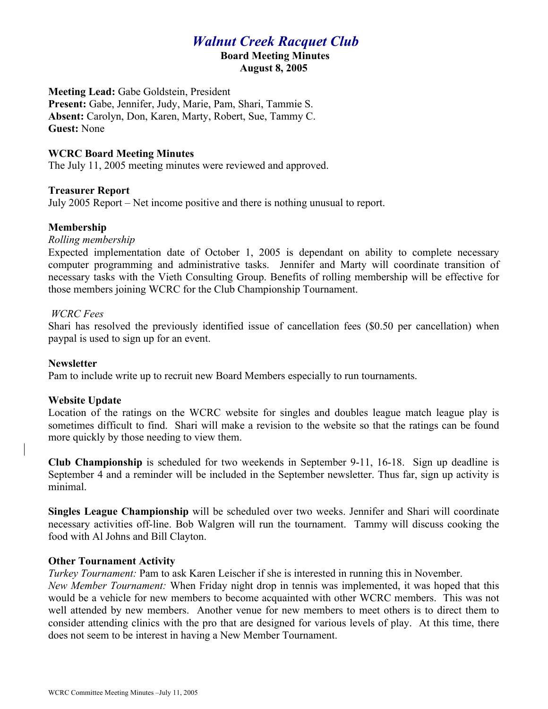# *Walnut Creek Racquet Club*

#### **Board Meeting Minutes August 8, 2005**

**Meeting Lead:** Gabe Goldstein, President **Present:** Gabe, Jennifer, Judy, Marie, Pam, Shari, Tammie S. **Absent:** Carolyn, Don, Karen, Marty, Robert, Sue, Tammy C. **Guest:** None

## **WCRC Board Meeting Minutes**

The July 11, 2005 meeting minutes were reviewed and approved.

#### **Treasurer Report**

July 2005 Report – Net income positive and there is nothing unusual to report.

# **Membership**

*Rolling membership*

Expected implementation date of October 1, 2005 is dependant on ability to complete necessary computer programming and administrative tasks. Jennifer and Marty will coordinate transition of necessary tasks with the Vieth Consulting Group. Benefits of rolling membership will be effective for those members joining WCRC for the Club Championship Tournament.

#### *WCRC Fees*

Shari has resolved the previously identified issue of cancellation fees (\$0.50 per cancellation) when paypal is used to sign up for an event.

#### **Newsletter**

Pam to include write up to recruit new Board Members especially to run tournaments.

#### **Website Update**

Location of the ratings on the WCRC website for singles and doubles league match league play is sometimes difficult to find. Shari will make a revision to the website so that the ratings can be found more quickly by those needing to view them.

**Club Championship** is scheduled for two weekends in September 9-11, 16-18. Sign up deadline is September 4 and a reminder will be included in the September newsletter. Thus far, sign up activity is minimal.

**Singles League Championship** will be scheduled over two weeks. Jennifer and Shari will coordinate necessary activities off-line. Bob Walgren will run the tournament. Tammy will discuss cooking the food with Al Johns and Bill Clayton.

#### **Other Tournament Activity**

*Turkey Tournament:* Pam to ask Karen Leischer if she is interested in running this in November.

*New Member Tournament:* When Friday night drop in tennis was implemented, it was hoped that this would be a vehicle for new members to become acquainted with other WCRC members. This was not well attended by new members. Another venue for new members to meet others is to direct them to consider attending clinics with the pro that are designed for various levels of play. At this time, there does not seem to be interest in having a New Member Tournament.